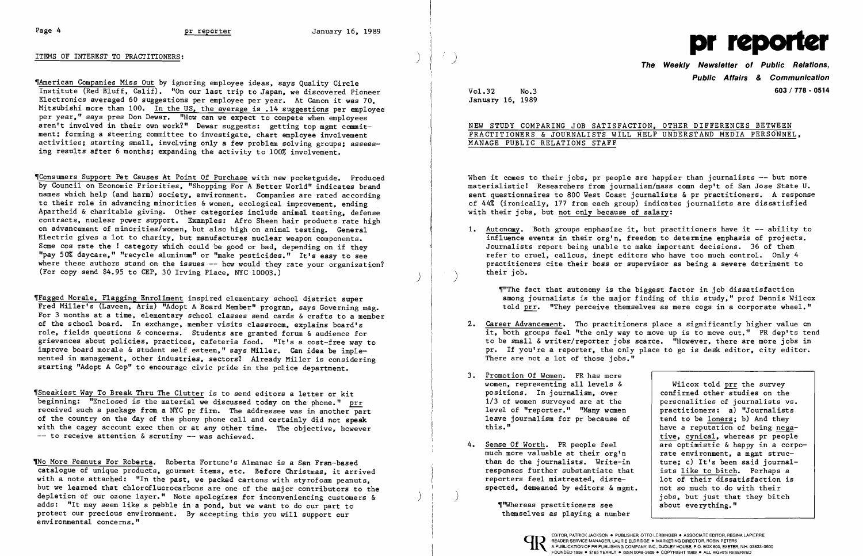

~American Companies Miss Out by ignoring employee ideas, says Quality Circle Institute (Red Bluff, Calif). "On our last trip to Japan, we discovered Pioneer Electronics averaged 60 suggestions per employee per year. At Canon it was 70, Mitsubishi more than 100. In the US, the average is .14 suggestions per employee per year," says pres Don Dewar. "How can we expect to compete when employees aren't involved in their own work?" Dewar suggests: getting top mgmt commitment; forming a steering committee to investigate, chart employee involvement activities; starting small, involving only a few problem solving groups; assessing results after 6 months; expanding the activity to 100% involvement.

~Sneakiest Way To Break Thru The Clutter is to send editors a letter or kit beginning: "Enclosed is the material we discussed today on the phone." prr received such a package from a NYC pr firm. The addressee was in another part of the country on the day of the phony phone call and certainly did not speak with the cagey account exec then or at any other time. The objective, however  $-$  to receive attention & scrutiny  $-$  was achieved.

~Consumers Support Pet Causes At Point Of Purchase with new pocketguide. Produced by Council on Economic Priorities, "Shopping For A Better World" indicates brand names which help (and harm) society, environment. Companies are rated according to their role in advancing minorities & women, ecological improvement, ending Apartheid & charitable giving. Other categories include animal testing, defense contracts, nuclear power support. Examples: Afro Sheen hair products rate high on advancement of minorities/women, but also high on animal testing. General Electric gives a lot to charity, but manufactures nuclear weapon components. Some cos rate the ! category which could be good or bad, depending on if they "pay 50% daycare," "recycle aluminum" or "make pesticides." It's easy to see where these authors stand on the issues  $-$  how would they rate your organization? (For copy send \$4.95 to CEP, 30 Irving Place, NYC 10003.) )

Tho More Peanuts For Roberta. Roberta Fortune's Almanac is a San Fran-based catalogue of unique products, gourmet items, etc. Before Christmas, it arrived with a note attached: "In the past, we packed cartons with styrofoam peanuts, but we learned that chlorofluorocarbons are one of the major contributors to the depletion of our ozone layer." Note apologizes for inconveniencing customers & adds: "It may seem like a pebble in a pond, but we want to do our part to protect our precious environment. By accepting this you will support our environmental concerns."

When it comes to their jobs, pr people are happier than journalists  $-$  but more materialistic! Researchers from journalism/mass comn dep't of San Jose State U. sent questionnaires to 800 West Coast journalists & pr practitioners. A response of 44% (ironically, 177 from each group) indicates journalists are dissatisfied with their jobs, but not only because of salary:

~Fagged Morale, Flagging Enrollment inspired elementary school district super Fred Miller's (Laveen, Ariz) "Adopt A Board Member" program, says Governing mag. For 3 months at a time, elementary school classes send cards & crafts to a member of the school board. In exchange, member visits classroom, explains board's role, fields questions & concerns. Students are granted forum & audience for grievances about policies, practices, cafeteria food. "It's a cost-free way to improve board morale & student self esteem," says Miller. Can idea be implemented in management, other industries, sectors? Already Miller is considering starting "Adopt A Cop" to encourage civic pride in the police department.

1. Autonomy. Both groups emphasize it, but practitioners have it -- ability to influence events in their org'n, freedom to determine emphasis of projects. Journalists report being unable to make important decisions. 36 of them refer to cruel, callous, inept editors who have too much control. Only 4 practitioners cite their boss or supervisor as being a severe detriment to

~"The fact that autonomy is the biggest factor in job dissatisfaction among journalists is the major finding of this study." prof Dennis Wilcox told prr. "They perceive themselves as mere cogs in a corporate wheel."

- 2. Career Advancement. Tho practitioners place a significantly higher value on There are not a lot of those jobs."
- 3. Promotion Of Women. PR has more women, representing all levels & positions. In journalism, over confirmed other studies on the  $1/3$  of women surveyed are at the personalities of journalists vs. 1/3 of women surveyed are at the personalities of journalists vs.<br>level of "reporter." "Many women practitioners: a) "Journalists level of "reporter." "Many women | practitioners: a) "Journalists<br>leave journalism for pr because of | tend to be loners; b) And they leave journalism for pr because of<br>this."
- 4. Sense Of Worth. PR people feel  $\overline{a}$  are optimistic & happy in a corpo-<br>much more valuable at their org'n rate environment, a mgmt strucmuch more valuable at their org'n<br>than do the journalists. Write-in ture; c) It's been said journalthan do the journalists. Write-in  $\begin{array}{|l|} \hline \end{array}$  ture; c) It's been said journal<br>responses further substantiate that ists like to bitch. Perhaps a responses further substantiate that  $\begin{array}{|l|l|}$  ists like to bitch. Perhaps a reporters feel mistreated, disre-<br>1 lot of their dissatisfaction is reporters feel mistreated, disre-<br>spected, demeaned by editors  $\&$  memt. <br>not so much to do with their spected, demeaned by editors & mgmt.

 $\left( \right)$ 

it, both groups feel "the only way to move up is to move out." PR dep'ts tend to be small & writer/reporter jobs scarce. "However, there are more jobs in pr. If you're a reporter, the only place to go is desk editor, city editor.

> Wilcox told prr the survey<br>confirmed other studies on the have a reputation of being negative, cynical, whereas pr people jobs, but just that they bitch about everything."

Public Affairs & Communication Vo1.32 No.3 603/778 - 0514

January 16, 1989

# NEW STUDY COMPARING JOB SATISFACTION, OTHER DIFFERENCES BETWEEN PRACTITIONERS & JOURNALISTS WILL HELP UNDERSTAND MEDIA PERSONNEL, MANAGE PUBLIC RELATIONS STAFF

their job. )

~'~hereas practitioners see themselves as playing a number